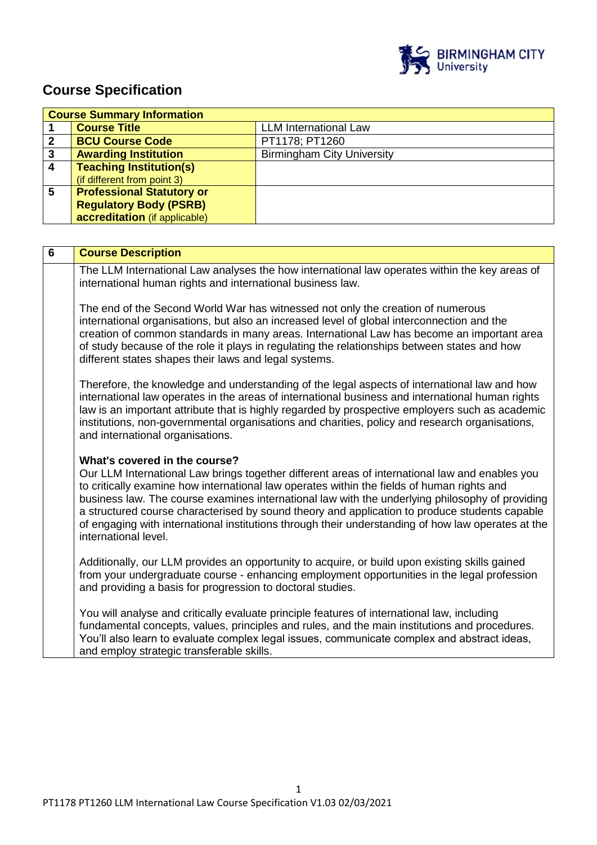

# **Course Specification**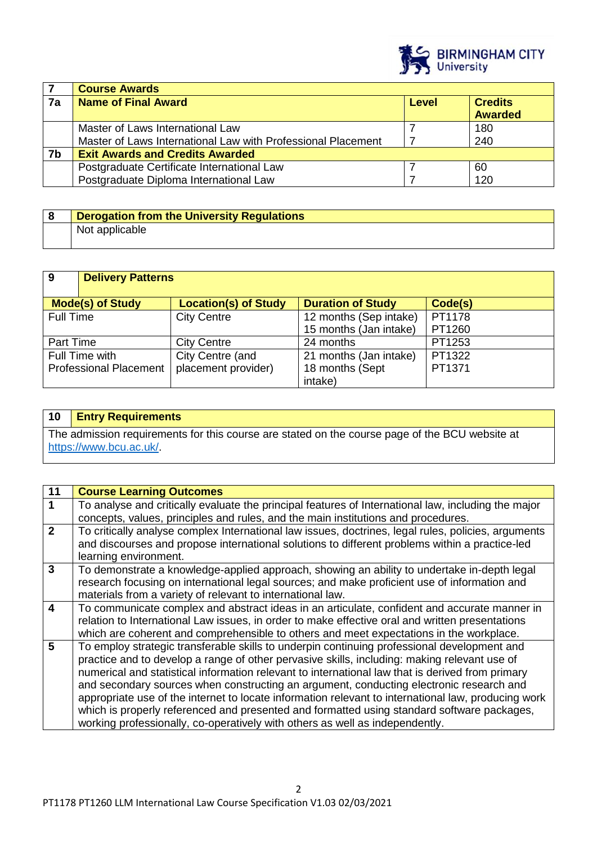

|    | <b>Course Awards</b>                                         |              |                                  |
|----|--------------------------------------------------------------|--------------|----------------------------------|
| 7a | <b>Name of Final Award</b>                                   | <b>Level</b> | <b>Credits</b><br><b>Awarded</b> |
|    |                                                              |              |                                  |
|    | Master of Laws International Law                             |              | 180                              |
|    | Master of Laws International Law with Professional Placement |              | 240                              |
| 7b | <b>Exit Awards and Credits Awarded</b>                       |              |                                  |
|    | Postgraduate Certificate International Law                   |              | 60                               |
|    | Postgraduate Diploma International Law                       |              | 120                              |

| <b>Derogation from the University Regulations</b> |
|---------------------------------------------------|
| Not applicable                                    |

| $\overline{9}$   | <b>Delivery Patterns</b>      |                             |                          |         |
|------------------|-------------------------------|-----------------------------|--------------------------|---------|
|                  |                               |                             | <b>Duration of Study</b> | Code(s) |
|                  | <b>Mode(s) of Study</b>       | <b>Location(s) of Study</b> |                          |         |
| <b>Full Time</b> |                               | <b>City Centre</b>          | 12 months (Sep intake)   | PT1178  |
|                  |                               |                             | 15 months (Jan intake)   | PT1260  |
| Part Time        |                               | <b>City Centre</b>          | 24 months                | PT1253  |
|                  | Full Time with                | City Centre (and            | 21 months (Jan intake)   | PT1322  |
|                  | <b>Professional Placement</b> | placement provider)         | 18 months (Sept          | PT1371  |
|                  |                               |                             | intake)                  |         |

# **10 Entry Requirements**

The admission requirements for this course are stated on the course page of the BCU website at [https://www.bcu.ac.uk/.](https://www.bcu.ac.uk/)

| 11                      | <b>Course Learning Outcomes</b>                                                                                                                                                                                                                                                                                                                                                                                                                                                                                                                                                                                                                                                 |
|-------------------------|---------------------------------------------------------------------------------------------------------------------------------------------------------------------------------------------------------------------------------------------------------------------------------------------------------------------------------------------------------------------------------------------------------------------------------------------------------------------------------------------------------------------------------------------------------------------------------------------------------------------------------------------------------------------------------|
| $\blacktriangleleft$    | To analyse and critically evaluate the principal features of International law, including the major<br>concepts, values, principles and rules, and the main institutions and procedures.                                                                                                                                                                                                                                                                                                                                                                                                                                                                                        |
| $\overline{2}$          | To critically analyse complex International law issues, doctrines, legal rules, policies, arguments<br>and discourses and propose international solutions to different problems within a practice-led<br>learning environment.                                                                                                                                                                                                                                                                                                                                                                                                                                                  |
| $\mathbf{3}$            | To demonstrate a knowledge-applied approach, showing an ability to undertake in-depth legal<br>research focusing on international legal sources; and make proficient use of information and<br>materials from a variety of relevant to international law.                                                                                                                                                                                                                                                                                                                                                                                                                       |
| $\overline{\mathbf{4}}$ | To communicate complex and abstract ideas in an articulate, confident and accurate manner in<br>relation to International Law issues, in order to make effective oral and written presentations<br>which are coherent and comprehensible to others and meet expectations in the workplace.                                                                                                                                                                                                                                                                                                                                                                                      |
| $5\overline{)}$         | To employ strategic transferable skills to underpin continuing professional development and<br>practice and to develop a range of other pervasive skills, including: making relevant use of<br>numerical and statistical information relevant to international law that is derived from primary<br>and secondary sources when constructing an argument, conducting electronic research and<br>appropriate use of the internet to locate information relevant to international law, producing work<br>which is properly referenced and presented and formatted using standard software packages,<br>working professionally, co-operatively with others as well as independently. |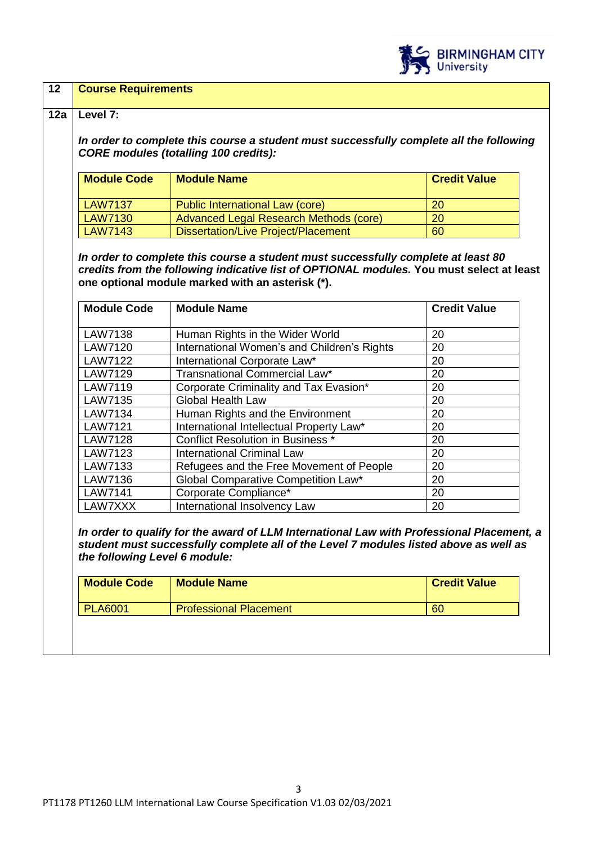

## **12 Course Requirements**

## **12a Level 7:**

*In order to complete this course a student must successfully complete all the following CORE modules (totalling 100 credits):*

| <b>Module Code</b> | <b>Module Name</b>                     | <b>Credit Value</b> |
|--------------------|----------------------------------------|---------------------|
| LAW7137            | Public International Law (core)        | <b>20</b>           |
| LAW7130            | Advanced Legal Research Methods (core) | <b>20</b>           |
| LAW7143            | Dissertation/Live Project/Placement    | 60                  |

*In order to complete this course a student must successfully complete at least 80 credits from the following indicative list of OPTIONAL modules.* **You must select at least one optional module marked with an asterisk (\*).**

| <b>Module Code</b> | <b>Module Name</b>                          | <b>Credit Value</b> |
|--------------------|---------------------------------------------|---------------------|
|                    |                                             |                     |
| <b>LAW7138</b>     | Human Rights in the Wider World             | 20                  |
| <b>LAW7120</b>     | International Women's and Children's Rights | 20                  |
| <b>LAW7122</b>     | International Corporate Law*                | 20                  |
| LAW7129            | Transnational Commercial Law*               | 20                  |
| <b>LAW7119</b>     | Corporate Criminality and Tax Evasion*      | 20                  |
| LAW7135            | Global Health Law                           | 20                  |
| <b>LAW7134</b>     | Human Rights and the Environment            | 20                  |
| <b>LAW7121</b>     | International Intellectual Property Law*    | 20                  |
| <b>LAW7128</b>     | <b>Conflict Resolution in Business *</b>    | 20                  |
| <b>LAW7123</b>     | <b>International Criminal Law</b>           | 20                  |
| LAW7133            | Refugees and the Free Movement of People    | 20                  |
| LAW7136            | Global Comparative Competition Law*         | 20                  |
| <b>LAW7141</b>     | Corporate Compliance*                       | 20                  |
| LAW7XXX            | International Insolvency Law                | 20                  |

*In order to qualify for the award of LLM International Law with Professional Placement, a student must successfully complete all of the Level 7 modules listed above as well as the following Level 6 module:*

| <b>Module Code</b> | <b>Module Name</b>            | <b>Credit Value</b> |
|--------------------|-------------------------------|---------------------|
| <b>PLA6001</b>     | <b>Professional Placement</b> | 60                  |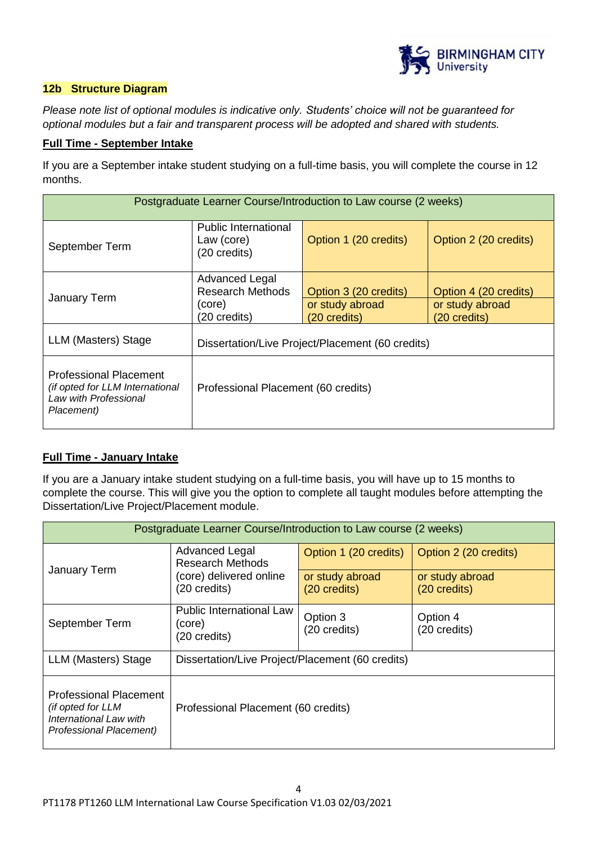

# **12b Structure Diagram**

*Please note list of optional modules is indicative only. Students' choice will not be guaranteed for optional modules but a fair and transparent process will be adopted and shared with students.*

# **Full Time - September Intake**

If you are a September intake student studying on a full-time basis, you will complete the course in 12 months.

| Postgraduate Learner Course/Introduction to Law course (2 weeks)                                        |                                                              |                                                                    |                                                          |  |
|---------------------------------------------------------------------------------------------------------|--------------------------------------------------------------|--------------------------------------------------------------------|----------------------------------------------------------|--|
| September Term                                                                                          | Public International<br>Law (core)<br>(20 credits)           | Option 1 (20 credits)                                              | Option 2 (20 credits)                                    |  |
| January Term                                                                                            | Advanced Legal<br>Research Methods<br>(core)<br>(20 credits) | Option 3 (20 credits)<br>or study abroad<br>$(20 \text{ credits})$ | Option 4 (20 credits)<br>or study abroad<br>(20 credits) |  |
| LLM (Masters) Stage                                                                                     | Dissertation/Live Project/Placement (60 credits)             |                                                                    |                                                          |  |
| <b>Professional Placement</b><br>(if opted for LLM International<br>Law with Professional<br>Placement) | Professional Placement (60 credits)                          |                                                                    |                                                          |  |

# **Full Time - January Intake**

If you are a January intake student studying on a full-time basis, you will have up to 15 months to complete the course. This will give you the option to complete all taught modules before attempting the Dissertation/Live Project/Placement module.

| Postgraduate Learner Course/Introduction to Law course (2 weeks)                                        |                                                                                      |                                                          |                                                          |  |
|---------------------------------------------------------------------------------------------------------|--------------------------------------------------------------------------------------|----------------------------------------------------------|----------------------------------------------------------|--|
| <b>January Term</b>                                                                                     | Advanced Legal<br><b>Research Methods</b><br>(core) delivered online<br>(20 credits) | Option 1 (20 credits)<br>or study abroad<br>(20 credits) | Option 2 (20 credits)<br>or study abroad<br>(20 credits) |  |
| September Term                                                                                          | Public International Law<br>(core)<br>(20 credits)                                   | Option 3<br>(20 credits)                                 | Option 4<br>(20 credits)                                 |  |
| LLM (Masters) Stage                                                                                     | Dissertation/Live Project/Placement (60 credits)                                     |                                                          |                                                          |  |
| <b>Professional Placement</b><br>(if opted for LLM<br>International Law with<br>Professional Placement) | Professional Placement (60 credits)                                                  |                                                          |                                                          |  |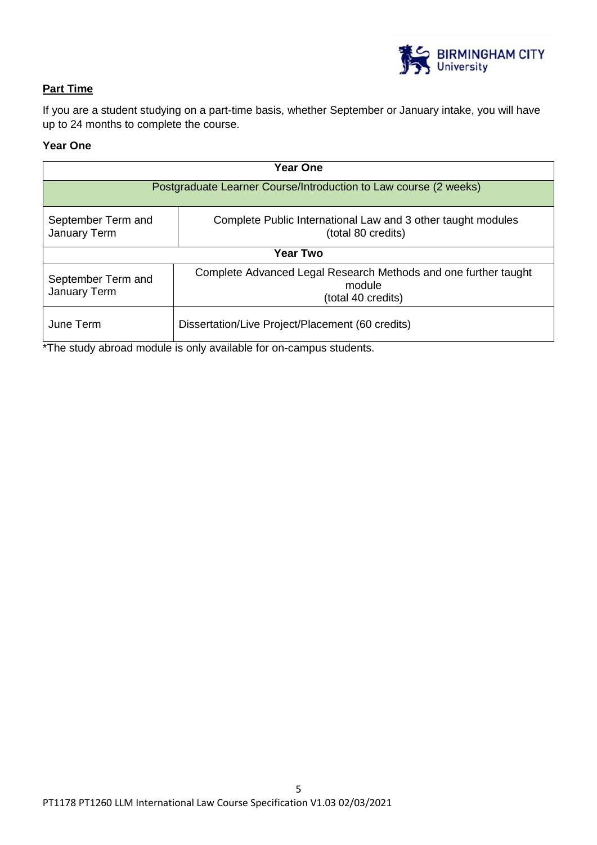

# **Part Time**

If you are a student studying on a part-time basis, whether September or January intake, you will have up to 24 months to complete the course.

# **Year One**

| <b>Year One</b>                                                                                                          |                                                                                                 |  |  |
|--------------------------------------------------------------------------------------------------------------------------|-------------------------------------------------------------------------------------------------|--|--|
| Postgraduate Learner Course/Introduction to Law course (2 weeks)                                                         |                                                                                                 |  |  |
| September Term and<br>Complete Public International Law and 3 other taught modules<br>January Term<br>(total 80 credits) |                                                                                                 |  |  |
| <b>Year Two</b>                                                                                                          |                                                                                                 |  |  |
| September Term and<br>January Term                                                                                       | Complete Advanced Legal Research Methods and one further taught<br>module<br>(total 40 credits) |  |  |
| June Term<br>Dissertation/Live Project/Placement (60 credits)                                                            |                                                                                                 |  |  |

\*The study abroad module is only available for on-campus students.